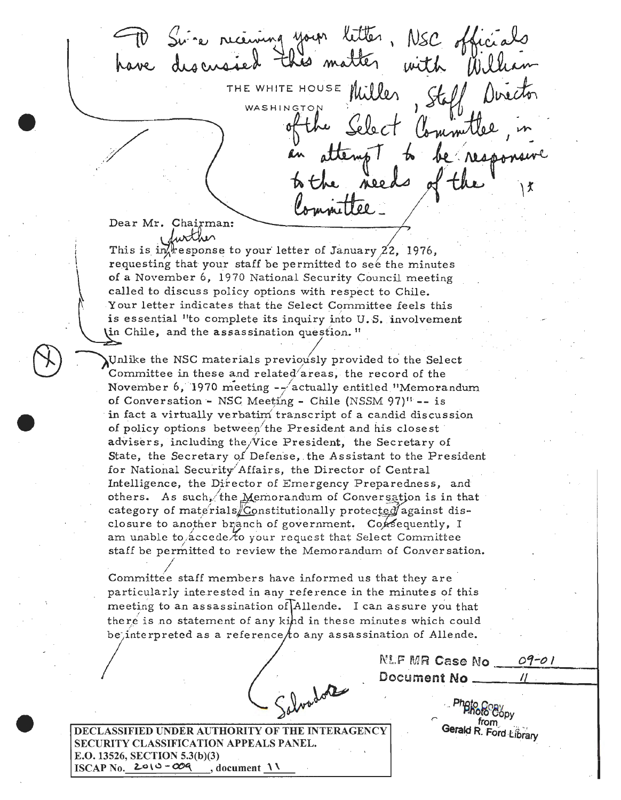letter, NSC of "e receiving with THE WHITE HOUSE WASHINGTO **ALO O** 【

Dear Mr. Chairman:

This is in  $\frac{1}{2}$  esponse to your letter of January 22, 1976, requesting that your staff be permitted to see the minutes of a November 6, 1970 National Security Council meeting called to discuss policy options with respect to Chile. Your letter indicates that the Select Committee feels this is essential "to complete its inquiry into U.S. involvement (in Chile, and the assassination question."

Unlike the NSC materials previously provided to the Select Committee in these and related'areas, the record of the November 6, 1970 meeting  $-\frac{1}{2}$  actually entitled "Memorandum of Conversation - NSC Meeting - Chile (NSSM 97)<sup>11</sup> -- is in fact a virtually verbatim transcript of a candid discussion of policy options between the President and his closest advisers, including the Vice President, the Secretary of State, the Secretary of Defense, the Assistant to the President for National Security Affairs, the Director of Central Intelligence, the Director of Emergency Preparedness, and others. As such, the Memorandum of Conversation is in that category of materials/Constitutionally protected against disclosure to another branch of government. Consequently, I am unable to accede to your request that Select Committee staff be permitted to review the Memorandum of Conversation.

Committee staff members have informed us that they are particularly interested in any reference in the minutes of this meeting to an assassination of Allende. I can assure you that there is no statement of any kind in these minutes which could be, interpreted as a reference/to any assassination of Allende.

NLF MR Case No 09-01 Document No

> from j Gerald R. Ford Library

DECLASSIFIED UNDER AUTHORITY OF THE INTERAGENCY SECURITY CLASSIFICATION APPEALS PANEL. E.O. 13526, SECTION 5.3(b)(3) ISCAP No.  $2010 - 009$ , document  $\Lambda\Lambda$